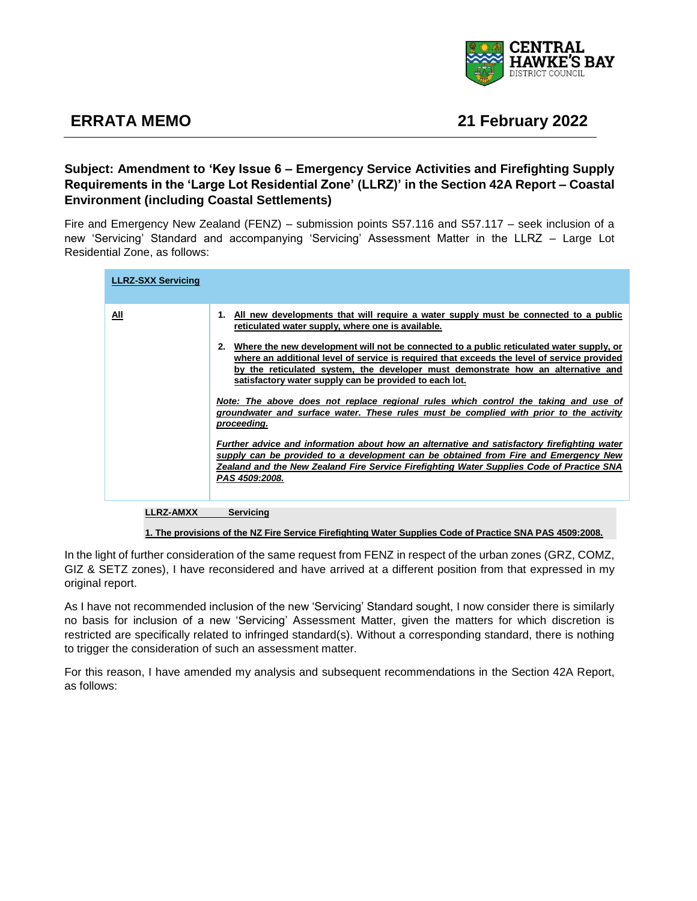

## **ERRATA MEMO 21 February 2022**

## **Subject: Amendment to 'Key Issue 6 – Emergency Service Activities and Firefighting Supply Requirements in the 'Large Lot Residential Zone' (LLRZ)' in the Section 42A Report – Coastal Environment (including Coastal Settlements)**

Fire and Emergency New Zealand (FENZ) – submission points S57.116 and S57.117 – seek inclusion of a new 'Servicing' Standard and accompanying 'Servicing' Assessment Matter in the LLRZ – Large Lot Residential Zone, as follows:

| <b>LLRZ-SXX Servicing</b> |                                                                                                                                                                                                                                                                                                                                                                                                                                                                                                                                                                                                                                                                                                                                                                                                                                                                            |
|---------------------------|----------------------------------------------------------------------------------------------------------------------------------------------------------------------------------------------------------------------------------------------------------------------------------------------------------------------------------------------------------------------------------------------------------------------------------------------------------------------------------------------------------------------------------------------------------------------------------------------------------------------------------------------------------------------------------------------------------------------------------------------------------------------------------------------------------------------------------------------------------------------------|
| All                       | 1. All new developments that will require a water supply must be connected to a public<br>reticulated water supply, where one is available.<br>Where the new development will not be connected to a public reticulated water supply, or<br>where an additional level of service is required that exceeds the level of service provided<br>by the reticulated system, the developer must demonstrate how an alternative and<br>satisfactory water supply can be provided to each lot.<br>Note: The above does not replace regional rules which control the taking and use of<br>groundwater and surface water. These rules must be complied with prior to the activity<br>proceeding.<br>Further advice and information about how an alternative and satisfactory firefighting water<br>supply can be provided to a development can be obtained from Fire and Emergency New |
| <b>LLRZ-AMXX</b>          | Zealand and the New Zealand Fire Service Firefighting Water Supplies Code of Practice SNA<br>PAS 4509:2008.<br>Servicina                                                                                                                                                                                                                                                                                                                                                                                                                                                                                                                                                                                                                                                                                                                                                   |

**1. The provisions of the NZ Fire Service Firefighting Water Supplies Code of Practice SNA PAS 4509:2008.**

In the light of further consideration of the same request from FENZ in respect of the urban zones (GRZ, COMZ, GIZ & SETZ zones), I have reconsidered and have arrived at a different position from that expressed in my original report.

As I have not recommended inclusion of the new 'Servicing' Standard sought, I now consider there is similarly no basis for inclusion of a new 'Servicing' Assessment Matter, given the matters for which discretion is restricted are specifically related to infringed standard(s). Without a corresponding standard, there is nothing to trigger the consideration of such an assessment matter.

For this reason, I have amended my analysis and subsequent recommendations in the Section 42A Report, as follows: